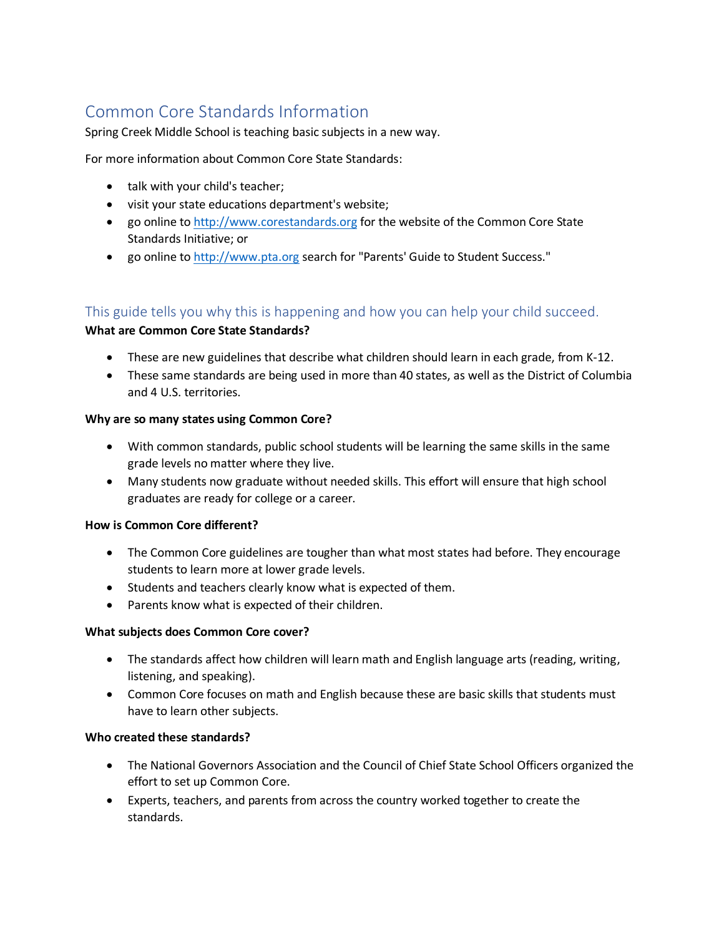# Common Core Standards Information

Spring Creek Middle School is teaching basic subjects in a new way.

For more information about Common Core State Standards:

- talk with your child's teacher;
- visit your state educations department's website;
- go online to [http://www.corestandards.org](http://www.corestandards.org/) for the website of the Common Core State Standards Initiative; or
- go online to [http://www.pta.org](http://www.pta.org/) search for "Parents' Guide to Student Success."

# This guide tells you why this is happening and how you can help your child succeed.

## **What are Common Core State Standards?**

- These are new guidelines that describe what children should learn in each grade, from K-12.
- These same standards are being used in more than 40 states, as well as the District of Columbia and 4 U.S. territories.

#### **Why are so many states using Common Core?**

- With common standards, public school students will be learning the same skills in the same grade levels no matter where they live.
- Many students now graduate without needed skills. This effort will ensure that high school graduates are ready for college or a career.

#### **How is Common Core different?**

- The Common Core guidelines are tougher than what most states had before. They encourage students to learn more at lower grade levels.
- Students and teachers clearly know what is expected of them.
- Parents know what is expected of their children.

#### **What subjects does Common Core cover?**

- The standards affect how children will learn math and English language arts (reading, writing, listening, and speaking).
- Common Core focuses on math and English because these are basic skills that students must have to learn other subjects.

#### **Who created these standards?**

- The National Governors Association and the Council of Chief State School Officers organized the effort to set up Common Core.
- Experts, teachers, and parents from across the country worked together to create the standards.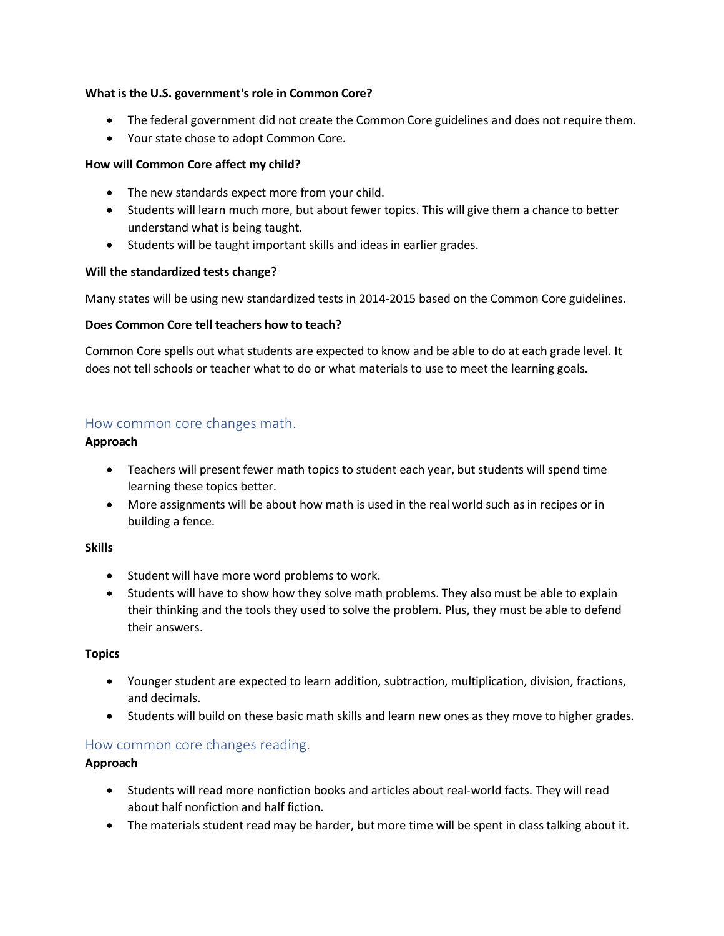## **What is the U.S. government's role in Common Core?**

- The federal government did not create the Common Core guidelines and does not require them.
- Your state chose to adopt Common Core.

## **How will Common Core affect my child?**

- The new standards expect more from your child.
- Students will learn much more, but about fewer topics. This will give them a chance to better understand what is being taught.
- Students will be taught important skills and ideas in earlier grades.

## **Will the standardized tests change?**

Many states will be using new standardized tests in 2014-2015 based on the Common Core guidelines.

## **Does Common Core tell teachers how to teach?**

Common Core spells out what students are expected to know and be able to do at each grade level. It does not tell schools or teacher what to do or what materials to use to meet the learning goals.

# How common core changes math.

# **Approach**

- Teachers will present fewer math topics to student each year, but students will spend time learning these topics better.
- More assignments will be about how math is used in the real world such as in recipes or in building a fence.

#### **Skills**

- Student will have more word problems to work.
- Students will have to show how they solve math problems. They also must be able to explain their thinking and the tools they used to solve the problem. Plus, they must be able to defend their answers.

# **Topics**

- Younger student are expected to learn addition, subtraction, multiplication, division, fractions, and decimals.
- Students will build on these basic math skills and learn new ones as they move to higher grades.

# How common core changes reading.

# **Approach**

- Students will read more nonfiction books and articles about real-world facts. They will read about half nonfiction and half fiction.
- The materials student read may be harder, but more time will be spent in class talking about it.